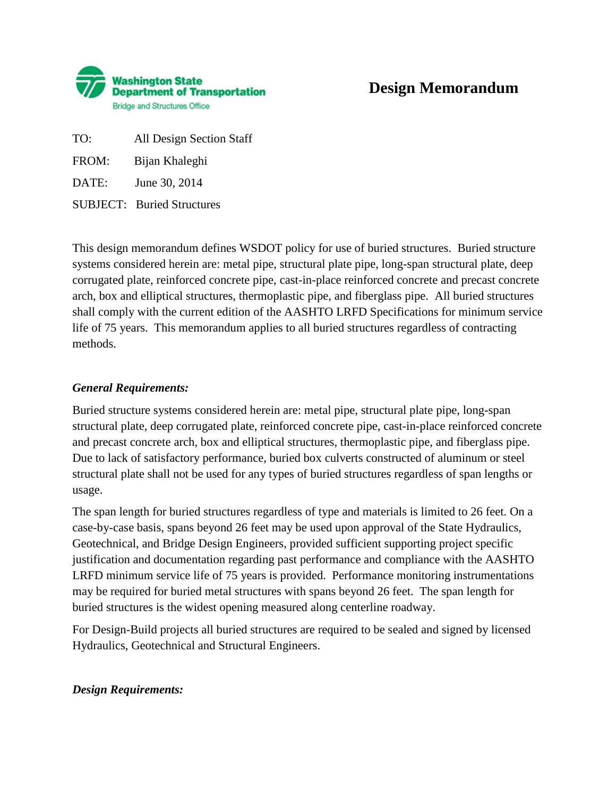

# **Design Memorandum**

TO: All Design Section Staff

FROM: Bijan Khaleghi

DATE: June 30, 2014

SUBJECT: Buried Structures

This design memorandum defines WSDOT policy for use of buried structures. Buried structure systems considered herein are: metal pipe, structural plate pipe, long-span structural plate, deep corrugated plate, reinforced concrete pipe, cast-in-place reinforced concrete and precast concrete arch, box and elliptical structures, thermoplastic pipe, and fiberglass pipe. All buried structures shall comply with the current edition of the AASHTO LRFD Specifications for minimum service life of 75 years. This memorandum applies to all buried structures regardless of contracting methods.

## *General Requirements:*

Buried structure systems considered herein are: metal pipe, structural plate pipe, long-span structural plate, deep corrugated plate, reinforced concrete pipe, cast-in-place reinforced concrete and precast concrete arch, box and elliptical structures, thermoplastic pipe, and fiberglass pipe. Due to lack of satisfactory performance, buried box culverts constructed of aluminum or steel structural plate shall not be used for any types of buried structures regardless of span lengths or usage.

The span length for buried structures regardless of type and materials is limited to 26 feet. On a case-by-case basis, spans beyond 26 feet may be used upon approval of the State Hydraulics, Geotechnical, and Bridge Design Engineers, provided sufficient supporting project specific justification and documentation regarding past performance and compliance with the AASHTO LRFD minimum service life of 75 years is provided. Performance monitoring instrumentations may be required for buried metal structures with spans beyond 26 feet. The span length for buried structures is the widest opening measured along centerline roadway.

For Design-Build projects all buried structures are required to be sealed and signed by licensed Hydraulics, Geotechnical and Structural Engineers.

## *Design Requirements:*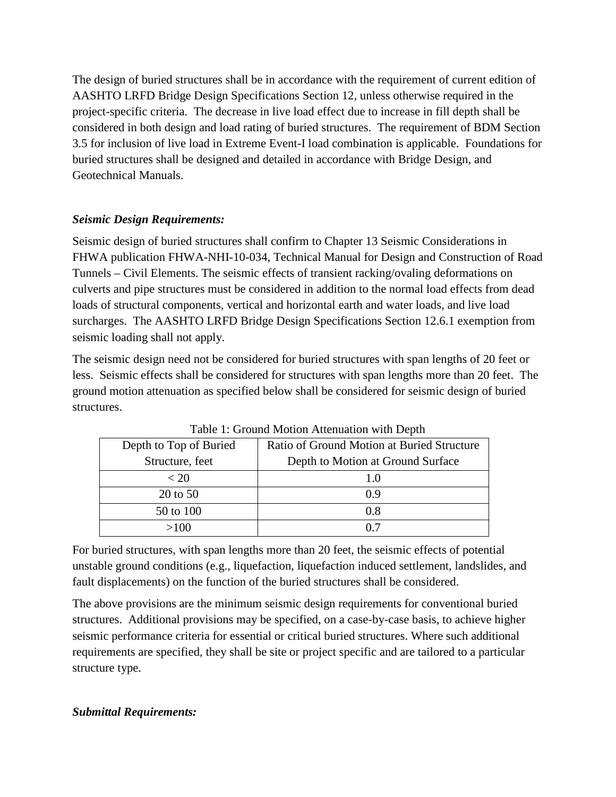The design of buried structures shall be in accordance with the requirement of current edition of AASHTO LRFD Bridge Design Specifications Section 12, unless otherwise required in the project-specific criteria. The decrease in live load effect due to increase in fill depth shall be considered in both design and load rating of buried structures. The requirement of BDM Section 3.5 for inclusion of live load in Extreme Event-I load combination is applicable. Foundations for buried structures shall be designed and detailed in accordance with Bridge Design, and Geotechnical Manuals.

## *Seismic Design Requirements:*

Seismic design of buried structures shall confirm to Chapter 13 Seismic Considerations in FHWA publication FHWA-NHI-10-034, Technical Manual for Design and Construction of Road Tunnels – Civil Elements. The seismic effects of transient racking/ovaling deformations on culverts and pipe structures must be considered in addition to the normal load effects from dead loads of structural components, vertical and horizontal earth and water loads, and live load surcharges. The AASHTO LRFD Bridge Design Specifications Section 12.6.1 exemption from seismic loading shall not apply.

The seismic design need not be considered for buried structures with span lengths of 20 feet or less. Seismic effects shall be considered for structures with span lengths more than 20 feet. The ground motion attenuation as specified below shall be considered for seismic design of buried structures.

| Depth to Top of Buried | Ratio of Ground Motion at Buried Structure |
|------------------------|--------------------------------------------|
| Structure, feet        | Depth to Motion at Ground Surface          |
| < 20                   | 10                                         |
| 20 to 50               | 0.9                                        |
| 50 to 100              | 0.8                                        |
| >100                   | ሰ 7                                        |

Table 1: Ground Motion Attenuation with Depth

For buried structures, with span lengths more than 20 feet, the seismic effects of potential unstable ground conditions (e.g., liquefaction, liquefaction induced settlement, landslides, and fault displacements) on the function of the buried structures shall be considered.

The above provisions are the minimum seismic design requirements for conventional buried structures. Additional provisions may be specified, on a case-by-case basis, to achieve higher seismic performance criteria for essential or critical buried structures. Where such additional requirements are specified, they shall be site or project specific and are tailored to a particular structure type.

## *Submittal Requirements:*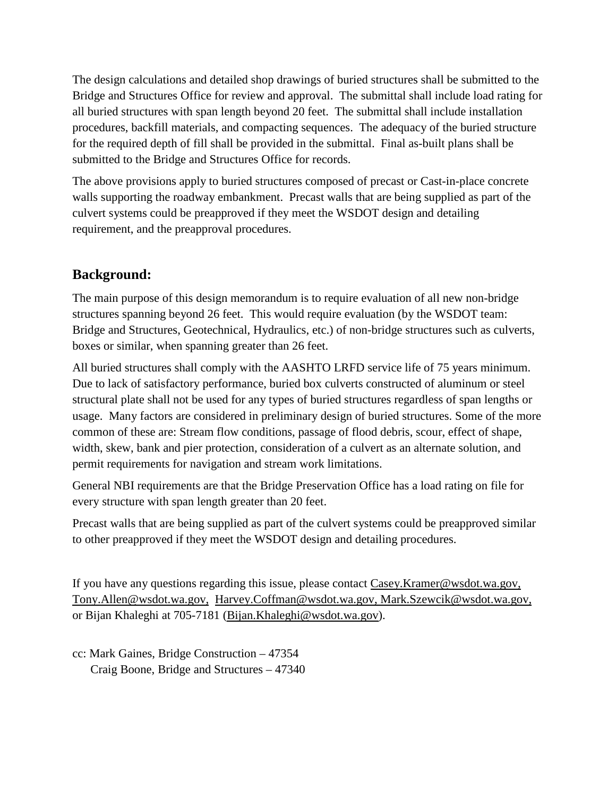The design calculations and detailed shop drawings of buried structures shall be submitted to the Bridge and Structures Office for review and approval. The submittal shall include load rating for all buried structures with span length beyond 20 feet. The submittal shall include installation procedures, backfill materials, and compacting sequences. The adequacy of the buried structure for the required depth of fill shall be provided in the submittal. Final as-built plans shall be submitted to the Bridge and Structures Office for records.

The above provisions apply to buried structures composed of precast or Cast-in-place concrete walls supporting the roadway embankment. Precast walls that are being supplied as part of the culvert systems could be preapproved if they meet the WSDOT design and detailing requirement, and the preapproval procedures.

# **Background:**

The main purpose of this design memorandum is to require evaluation of all new non-bridge structures spanning beyond 26 feet. This would require evaluation (by the WSDOT team: Bridge and Structures, Geotechnical, Hydraulics, etc.) of non-bridge structures such as culverts, boxes or similar, when spanning greater than 26 feet.

All buried structures shall comply with the AASHTO LRFD service life of 75 years minimum. Due to lack of satisfactory performance, buried box culverts constructed of aluminum or steel structural plate shall not be used for any types of buried structures regardless of span lengths or usage. Many factors are considered in preliminary design of buried structures. Some of the more common of these are: Stream flow conditions, passage of flood debris, scour, effect of shape, width, skew, bank and pier protection, consideration of a culvert as an alternate solution, and permit requirements for navigation and stream work limitations.

General NBI requirements are that the Bridge Preservation Office has a load rating on file for every structure with span length greater than 20 feet.

Precast walls that are being supplied as part of the culvert systems could be preapproved similar to other preapproved if they meet the WSDOT design and detailing procedures.

If you have any questions regarding this issue, please contact [Casey.Kramer@wsdot.wa.gov,](mailto:Casey.Kramer@wsdot.wa.gov) [Tony.Allen@wsdot.wa.gov,](mailto:Tony.Allen@wsdot.wa.gov) [Harvey.Coffman@wsdot.wa.gov,](mailto:Harvey.Coffman@wsdot.wa.gov) Mark.Szewcik@wsdot.wa.gov, or Bijan Khaleghi at 705-7181 [\(Bijan.Khaleghi@wsdot.wa.gov\)](mailto:Bijan.Khaleghi@wsdot.wa.gov).

cc: Mark Gaines, Bridge Construction – 47354 Craig Boone, Bridge and Structures – 47340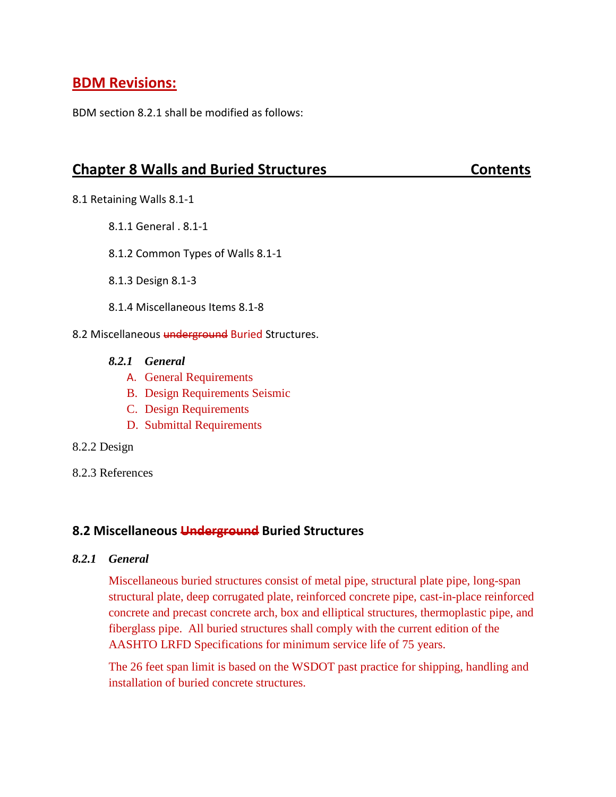# **BDM Revisions:**

BDM section 8.2.1 shall be modified as follows:

# **Chapter 8 Walls and Buried Structures Contents Contents**

- 8.1 Retaining Walls 8.1-1
	- 8.1.1 General . 8.1-1
	- 8.1.2 Common Types of Walls 8.1-1
	- 8.1.3 Design 8.1-3
	- 8.1.4 Miscellaneous Items 8.1-8
- 8.2 Miscellaneous underground Buried Structures.
	- *8.2.1 General* 
		- A. General Requirements
		- B. Design Requirements Seismic
		- C. Design Requirements
		- D. Submittal Requirements
- 8.2.2 Design
- 8.2.3 References

# **8.2 Miscellaneous Underground Buried Structures**

### *8.2.1 General*

Miscellaneous buried structures consist of metal pipe, structural plate pipe, long-span structural plate, deep corrugated plate, reinforced concrete pipe, cast-in-place reinforced concrete and precast concrete arch, box and elliptical structures, thermoplastic pipe, and fiberglass pipe. All buried structures shall comply with the current edition of the AASHTO LRFD Specifications for minimum service life of 75 years.

The 26 feet span limit is based on the WSDOT past practice for shipping, handling and installation of buried concrete structures.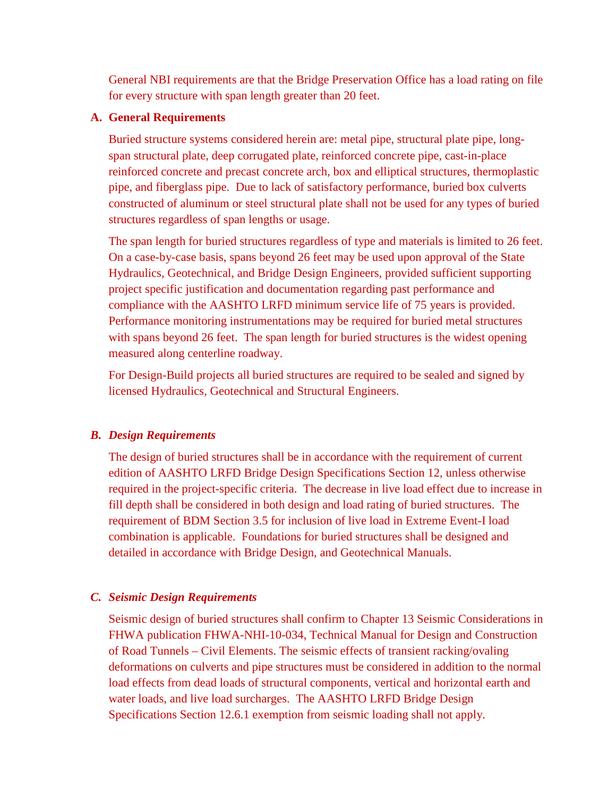General NBI requirements are that the Bridge Preservation Office has a load rating on file for every structure with span length greater than 20 feet.

### **A. General Requirements**

Buried structure systems considered herein are: metal pipe, structural plate pipe, longspan structural plate, deep corrugated plate, reinforced concrete pipe, cast-in-place reinforced concrete and precast concrete arch, box and elliptical structures, thermoplastic pipe, and fiberglass pipe. Due to lack of satisfactory performance, buried box culverts constructed of aluminum or steel structural plate shall not be used for any types of buried structures regardless of span lengths or usage.

The span length for buried structures regardless of type and materials is limited to 26 feet. On a case-by-case basis, spans beyond 26 feet may be used upon approval of the State Hydraulics, Geotechnical, and Bridge Design Engineers, provided sufficient supporting project specific justification and documentation regarding past performance and compliance with the AASHTO LRFD minimum service life of 75 years is provided. Performance monitoring instrumentations may be required for buried metal structures with spans beyond 26 feet. The span length for buried structures is the widest opening measured along centerline roadway.

For Design-Build projects all buried structures are required to be sealed and signed by licensed Hydraulics, Geotechnical and Structural Engineers.

### *B. Design Requirements*

The design of buried structures shall be in accordance with the requirement of current edition of AASHTO LRFD Bridge Design Specifications Section 12, unless otherwise required in the project-specific criteria. The decrease in live load effect due to increase in fill depth shall be considered in both design and load rating of buried structures. The requirement of BDM Section 3.5 for inclusion of live load in Extreme Event-I load combination is applicable. Foundations for buried structures shall be designed and detailed in accordance with Bridge Design, and Geotechnical Manuals.

### *C. Seismic Design Requirements*

Seismic design of buried structures shall confirm to Chapter 13 Seismic Considerations in FHWA publication FHWA-NHI-10-034, Technical Manual for Design and Construction of Road Tunnels – Civil Elements. The seismic effects of transient racking/ovaling deformations on culverts and pipe structures must be considered in addition to the normal load effects from dead loads of structural components, vertical and horizontal earth and water loads, and live load surcharges. The AASHTO LRFD Bridge Design Specifications Section 12.6.1 exemption from seismic loading shall not apply.